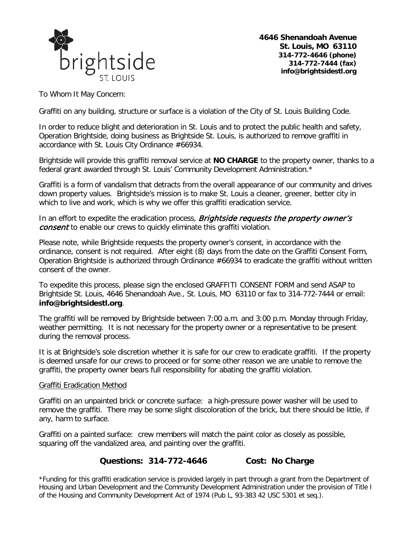

**4646 Shenandoah Avenue St. Louis, MO 63110 314-772-4646 (phone) 314-772-7444 (fax) info@brightsidestl.org**

To Whom It May Concern:

Graffiti on any building, structure or surface is a violation of the City of St. Louis Building Code.

In order to reduce blight and deterioration in St. Louis and to protect the public health and safety, Operation Brightside, doing business as Brightside St. Louis, is authorized to remove graffiti in accordance with St. Louis City Ordinance #66934.

Brightside will provide this graffiti removal service at **NO CHARGE** to the property owner, thanks to a federal grant awarded through St. Louis' Community Development Administration.\*

Graffiti is a form of vandalism that detracts from the overall appearance of our community and drives down property values. Brightside's mission is to make St. Louis a cleaner, greener, better city in which to live and work, which is why we offer this graffiti eradication service.

In an effort to expedite the eradication process, **Brightside requests the property owner's** consent to enable our crews to quickly eliminate this graffiti violation.

Please note, while Brightside requests the property owner's consent, in accordance with the ordinance, consent is not required. After eight (8) days from the date on the Graffiti Consent Form, Operation Brightside is authorized through Ordinance #66934 to eradicate the graffiti without written consent of the owner.

To expedite this process, please sign the enclosed GRAFFITI CONSENT FORM and send ASAP to Brightside St. Louis, 4646 Shenandoah Ave., St. Louis, MO 63110 or fax to 314-772-7444 or email: **info@brightsidestl.org**.

The graffiti will be removed by Brightside between 7:00 a.m. and 3:00 p.m. Monday through Friday, weather permitting. It is not necessary for the property owner or a representative to be present during the removal process.

It is at Brightside's sole discretion whether it is safe for our crew to eradicate graffiti. If the property is deemed unsafe for our crews to proceed or for some other reason we are unable to remove the graffiti, the property owner bears full responsibility for abating the graffiti violation.

## Graffiti Eradication Method

Graffiti on an unpainted brick or concrete surface: a high-pressure power washer will be used to remove the graffiti. There may be some slight discoloration of the brick, but there should be little, if any, harm to surface.

Graffiti on a painted surface: crew members will match the paint color as closely as possible, squaring off the vandalized area, and painting over the graffiti.

## **Questions: 314-772-4646 Cost: No Charge**

\*Funding for this graffiti eradication service is provided largely in part through a grant from the Department of Housing and Urban Development and the Community Development Administration under the provision of Title I of the Housing and Community Development Act of 1974 (Pub L, 93-383 42 USC 5301 et seq.).